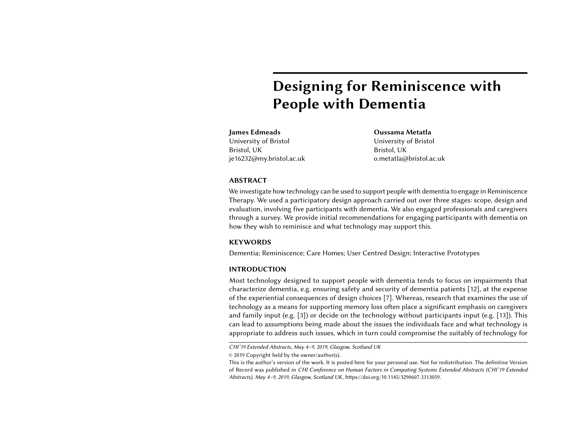# Designing for Reminiscence with People with Dementia

James Edmeads University of Bristol Bristol, UK je16232@my.bristol.ac.uk Oussama Metatla University of Bristol Bristol, UK o.metatla@bristol.ac.uk

# ABSTRACT

We investigate how technology can be used to support people with dementia to engage in Reminiscence Therapy. We used a participatory design approach carried out over three stages: scope, design and evaluation, involving five participants with dementia. We also engaged professionals and caregivers through a survey. We provide initial recommendations for engaging participants with dementia on how they wish to reminisce and what technology may support this.

# **KEYWORDS**

Dementia; Reminiscence; Care Homes; User Centred Design; Interactive Prototypes

## INTRODUCTION

Most technology designed to support people with dementia tends to focus on impairments that characterize dementia, e.g. ensuring safety and security of dementia patients [\[12\]](#page-5-0), at the expense of the experiential consequences of design choices [\[7\]](#page-5-1). Whereas, research that examines the use of technology as a means for supporting memory loss often place a significant emphasis on caregivers and family input (e.g. [\[3\]](#page-5-2)) or decide on the technology without participants input (e.g. [\[13\]](#page-5-3)). This can lead to assumptions being made about the issues the individuals face and what technology is appropriate to address such issues, which in turn could compromise the suitably of technology for

CHI'19 Extended Abstracts, May 4–9, 2019, Glasgow, Scotland UK

<sup>©</sup> 2019 Copyright held by the owner/author(s).

This is the author's version of the work. It is posted here for your personal use. Not for redistribution. The definitive Version of Record was published in CHI Conference on Human Factors in Computing Systems Extended Abstracts (CHI'19 Extended Abstracts), May 4–9, 2019, Glasgow, Scotland UK, [https://doi.org/10.1145/3290607.3313059.](https://doi.org/10.1145/3290607.3313059)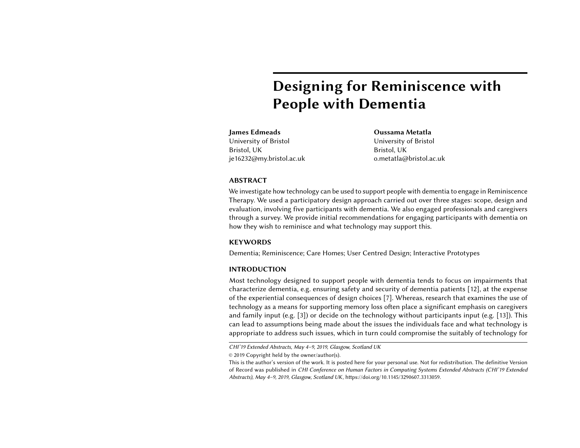Four caregivers with between 2 and 14 years experience in the home. Including caregiver responsible for reminiscence sessions.

### Occupational Therapists

Twelve Occupational Therapists including senior practitioners with between 4 and 25 years experience

### Social Workers

Five Social Workers, including two senior practitioners, with between 3 and 30 years experience.

#### **Outcomes**

Music, photographs and story telling all were used successfully for reminiscence sessions Items were non-personalised, mostly from a reminiscence magazine Most participants struggle to learn new technology

Sidebar 1: Professionals who completed the survey and its outcomes.

Table 1: Participants with dementia and stage of their participation.

|         | Scope | Design Evaluation |
|---------|-------|-------------------|
| Mary    |       |                   |
| Doris   |       |                   |
| Hugh    |       |                   |
| Vera    |       |                   |
| Maureen |       |                   |

Caregivers the individual users. Focusing on enhancing quality of life for people with dementia, we present an approach exploring the use of participatory design to develop technology that supports reminiscence. We thus demonstrate methods for engaging with people living with dementia through participatory design that led to tailored solutions for the participants. Here we find that development in this manner can provide choice to the participants over how they wish to reminisce and what technology they are comfortable using. In addition we provide suggestions to further researchers on how they can carry out Participatory Design projects involving people with dementia.

# <span id="page-1-1"></span>RELATED WORK

Technology to support reminiscence is a growing field of research [\[15\]](#page-5-4). The CIRCA project [\[2\]](#page-5-5) showed that technology can play an important role in supporting reminiscence. It aimed to support interaction between caregivers and the people with dementia, relying on caregivers feedback to develop such support. This highlights a common issue with research into dementia support where there is a heavy reliance on the input of the caregivers who can take control of the sessions [\[6,](#page-5-6) [8\]](#page-5-7). This is problematic as caregivers can be risk adverse which can reduce opportunities for the person with dementia [\[9\]](#page-5-8). CIRCA decided to concentrate on non-personalized memorabilia due to concerns that the person with dementia might not recognize family members which could cause distress [\[5\]](#page-5-9). This risk adverse strategy, recognised by the project [\[1\]](#page-5-10), reduced opportunity for the participants.

Personalised memorabilia has been used by other projects which record more positive experiences as a result for the participants [\[13\]](#page-5-3). However, this project decided the technology to use without the participants input, choosing DVDs and TVs on the basis that this was common technology that participants would be familiar with. It was found that some participants had difficulty in controlling the DVDs introducing a different limitation, one of accessibility.

<span id="page-1-0"></span>The KITE project followed a participatory design methodology to develop technology to aid independence for people with dementia [\[8,](#page-5-7) [11\]](#page-5-11). Engaging with people with dementia to explore barriers they faced when independently going outside, they found that most participants had mobile phones but rarely turned them on or would leave them at home and were therefore unsuitable as a basis for potential solutions [\[11\]](#page-5-11). This highlights the difference in experience between the person with dementia and the researcher, which can lead to the researcher's intuition misleading them. Lindsay et al. [\[8\]](#page-5-7) suggest that this should be overcome through an empathic approach to participatory design that empowers the person with dementia rather than emphasise their impairment.

# APPROACH

Working in partnership with a medium-sized nursing home (20 residents) we developed a participatory design approach that involves both professionals and participants with dementia in three stages: scope, design, and evaluation (see Table [1](#page-1-0) for participation in each stage).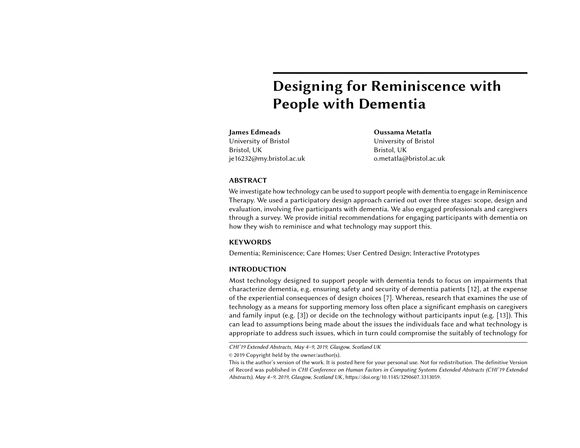Semi-structured interviews Exploration of memorabilia bought by the researchers and the participants (see figure [1\)](#page-3-0) Open Conversations.

#### Design:

Session 1: Focused Exploration of Memorabilia, both personalised and nonpersonalised (see figure [2\)](#page-3-1). Session 2: Exploration of Technology focusing on audio and visual prompts. Technologies allowed for interaction with obvious and hidden technologies.

- iPad storyteller application
- Photograph Frame that plays audio when touched
- Cushions with QR codes that play sound when scanned
- Laptop application that displays pictures and sound
- Cushions with hidden buttons linked to screen via blue tooth
- Tablet to access internet to source picture and music

### Evaluation:

Session 1: Demonstration of prototypes Session 2: Demonstration, participant exploration of prototypes, semi-structured interview

Session 3: Participant exploration, semistructured interview

Responses coded as per [\[3,](#page-5-2) [5,](#page-5-9) [10\]](#page-5-12).

# Sidebar 2: Methodology for each stage

Four women and one man participated in the project ranging in age from 86 to 94 years old. Our Scope: only criteria for inclusion was that each participant had a diagnosis of dementia but retained the mental capacity to agree to participate in the project. Three participants had lived in the home for over two years, one for over five years and one for three months. Three of the participants had limited mobility and required caregiver support to move locations. For outline of Methodology see Sidebar [2.](#page-2-0)

<span id="page-2-0"></span>Professionals were recruited to complete questionnaires prior to the workshops to help further understanding of current practices and technology use with this user group (See Sidebar [1](#page-1-1) for professionals involved and outcomes). The outcomes from the professionals' participation meant that we focused on both personalised and non-personalised music, photographs and storytelling as means to engage the participants in reminisce for the scoping sessions.

# **SCOPE**

We used thematic analysis to analyse the data we collected following the 6 point process outlined by Braun and Clarke [\[4\]](#page-5-13), this was inclusive of the feedback from professionals as per Sidebar [1.](#page-1-1) Three major themes captured the barriers to reminiscence that participants identified:

- (1) Personalization, lack of own memorabilia in the care home and reliance on others to gather memorabilia.
- (2) Lack of control, inability to initiate reminiscence sessions and accessibility of memorabilia.
- (3) Difference in professional and participants focus, caregivers trying to avoid subjects which might prompt negative memories, such as war.

# DESIGN

Session one highlighted that all options would prompt reminiscence but photographs and music, particularly when combined would elicit the strongest responses. Mary, when listening to music and looking at photographs of an orchestra, stated that she had sung in the Albert Hall and proceeded to sing Ave Maria in Latin in the session, something her carers were not aware of. Doris stated that "with music there is always reminiscence and it seems to strike out of the blue!".

Session two highlighted a clear barrier with technology with two participants, Mary and Hugh, not wanting to touch any of the technology involved. Hugh stated that he had owned seven computers in his life but that everything looked too advanced and he did not want to learn at his age. This reinforced the professionals' input as per Sidebar [1.](#page-1-1)

# PROTOTYPES

Two prototypes were developed following these sessions: MyStory, an interactive photograph album where each page has a picture and the ability to record stories or play sound; SharedMemories, a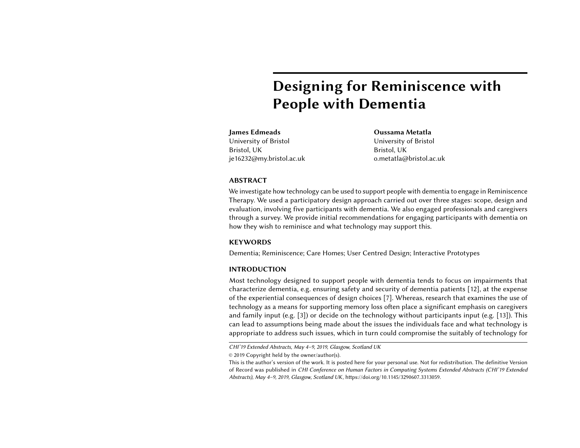

Figure 1: Example Objects and Images Used for Scope sessions



Figure 2: Example Objects and Images Used for Design sessions

web-based digital photograph frame where each picture has the ability to record stories, play audio which others can upload to (see figure [3\)](#page-4-0). These allowed for a personalised approach to reminiscence, including images and audio which were the preferred choices, and an exploration of whether and how low-fidelity and higher-fidelity prototypes can overcome the barrier of technology.

# <span id="page-3-0"></span>EVALUATION

All participants were able to independently use MyStory, including in the third session with no demonstration; however, the touch screen interface proved more difficult for all and required repeated demonstrations for successful use. The coded responses showed MyStory was also more positively viewed than SharedMemories, with all users explicitly choosing this as the preferred option in the second session. Doris stated that she is "more used to it" and Mary that it was "beautifully put together". However, in the third session both Hugh and Mary chose SharedMemories as the preferred choice as they could see it better. This was of interest as neither wanted to touch any obvious technology in the design sessions yet chose it as the option they would rather use. It was also interesting that the day of the third sessions was much darker due to poor weather which affected visibility and, therefore, the backlit screen did aid visibility.

# DISCUSSION

<span id="page-3-1"></span>The two prototypes developed both showed potential as technological support for reminiscence with the familiarity of MyStory eliciting the most positive responses. However, the support for the digital SharedMemories where visibility is an issue suggests that, for these participants, a range of options would be preferable to support them in different circumstances. What was clear from the early scoping stage was that a combination of audio and images was the preferred choice for reminiscence, and the ability to share one's own personalised story was important to all the participants.

This project highlighted a number of recommendations for future participatory design researchers undertaking projects involving people with dementia.

Firstly, avoid assumptions. Unlike prior work, we demonstrate that this is particularly crucial for people with dementia and needs to be practically implemented. In this study the caregivers' assumption that potential negative memories should be avoided, specifically discussions about World War 2, was proved unfounded. All participants wished to discuss this period in their lives as it had such a significant impact on them. The caregivers suggested this approach due to concerns for the participants well-being, however, as Waycott et al. [\[14\]](#page-5-14) have suggested research should challenge 'decisions that we perhaps perceive as caring for participants'. In this context caring for the participant is not protecting them from their own memories but allowing the opportunity to reminisce about any subject.